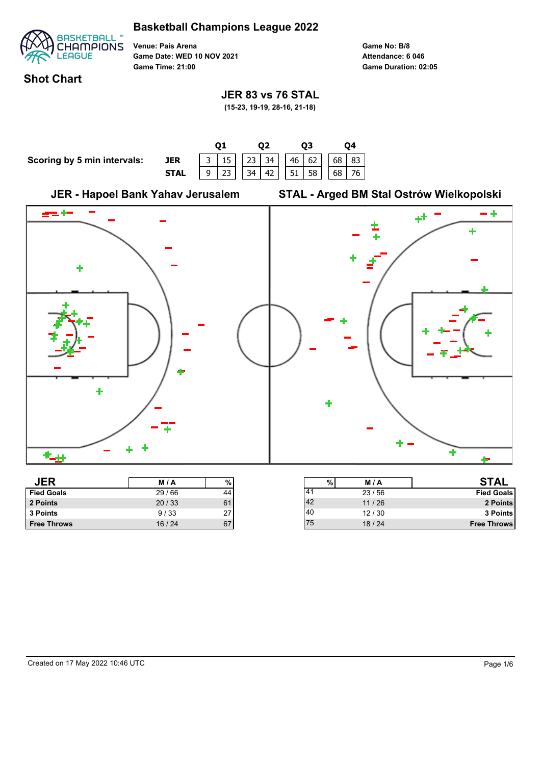

**Venue: Pais Arena Game Date: WED 10 NOV 2021 Game Time: 21:00**

**Game No: B/8 Game Duration: 02:05 Attendance: 6 046**

75 18 / 24 **Free Throws**

## **Shot Chart**

#### **JER 83 vs 76 STAL**

**(15-23, 19-19, 28-16, 21-18)**



**Free Throws** 16 / 24 67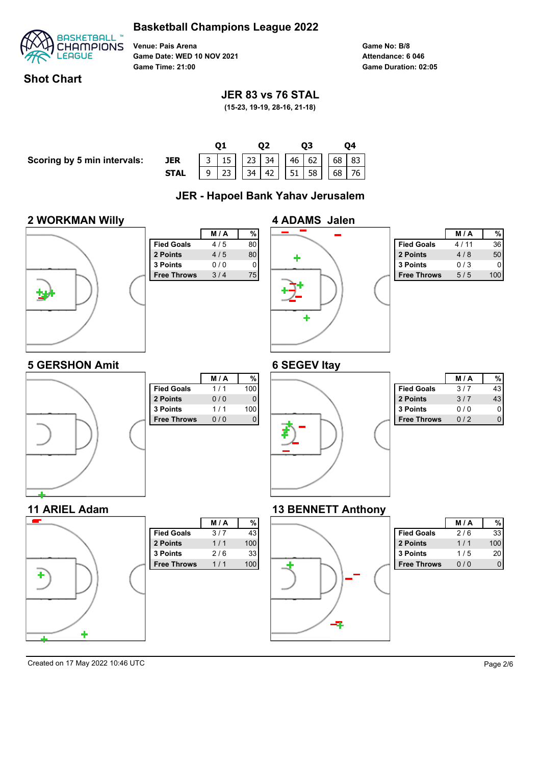

**Venue: Pais Arena Game Date: WED 10 NOV 2021 Game Time: 21:00**

**Game No: B/8 Game Duration: 02:05 Attendance: 6 046**

## **Shot Chart**

## **JER 83 vs 76 STAL**

**(15-23, 19-19, 28-16, 21-18)**

**Scoring by 5 min intervals:** 

|             |  |                                                                                                                                                             | 02 |  | 03 |  |  |
|-------------|--|-------------------------------------------------------------------------------------------------------------------------------------------------------------|----|--|----|--|--|
| <b>JER</b>  |  | $\begin{array}{ c c c c c c c c c c c c } \hline 3 & 15 & 23 & 34 & 46 & 62 & 68 & 83 \\ \hline 9 & 23 & 34 & 42 & 51 & 58 & 68 & 76 \\ \hline \end{array}$ |    |  |    |  |  |
| <b>STAL</b> |  |                                                                                                                                                             |    |  |    |  |  |
|             |  |                                                                                                                                                             |    |  |    |  |  |

## **JER - Hapoel Bank Yahav Jerusalem**

#### **2 WORKMAN Willy**



**5 GERSHON Amit**

**11 ARIEL Adam**

÷

|                    | M/A | %  |
|--------------------|-----|----|
| <b>Fied Goals</b>  | 4/5 | 80 |
| 2 Points           | 4/5 | 80 |
| 3 Points           | 0/0 | ი  |
| <b>Free Throws</b> | 3/4 | 75 |
|                    |     |    |
|                    |     |    |
|                    |     |    |
|                    |     |    |
|                    |     |    |
|                    |     |    |
|                    |     |    |



|                    | <b>M/A</b> |     |
|--------------------|------------|-----|
| <b>Fied Goals</b>  | 4 / 11     | 36  |
| 2 Points           | 4/8        | 50  |
| 3 Points           | 0/3        |     |
| <b>Free Throws</b> | 5/5        | 100 |

## **6 SEGEV Itay**



**M / A %**

**Fied Goals**  $3/7$  43 **2 Points** 1/1 100 **3 Points** 2/6 33 **Free Throws** 1/1 100



|                    | <b>M/A</b> |    |
|--------------------|------------|----|
| <b>Fied Goals</b>  | 3/7        |    |
| 2 Points           | 3/7        | 43 |
| 3 Points           | 0 / 0      |    |
| <b>Free Throws</b> | 012        |    |

#### **13 BENNETT Anthony**



|                    | M / A |     |
|--------------------|-------|-----|
| <b>Fied Goals</b>  | 2/6   | 33  |
| 2 Points           | 1/1   | 100 |
| 3 Points           | 1/5   | 20  |
| <b>Free Throws</b> | 0/0   |     |

Created on 17 May 2022 10:46 UTC Page 2/6

٠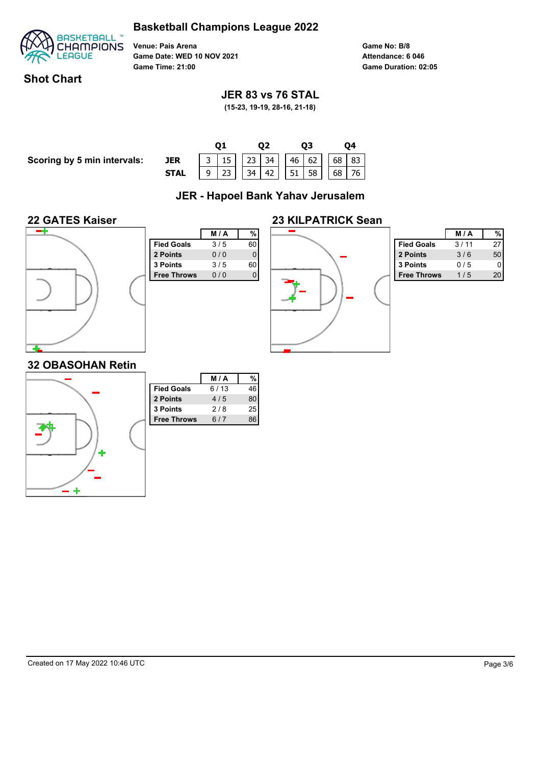

**Venue: Pais Arena Game Date: WED 10 NOV 2021 Game Time: 21:00**

**Game No: B/8 Game Duration: 02:05 Attendance: 6 046**

## **Shot Chart**

## **JER 83 vs 76 STAL**

**(15-23, 19-19, 28-16, 21-18)**

**Scoring by 5 min intervals:** 

|             |  |  | O2 |  | O3 |  |  |
|-------------|--|--|----|--|----|--|--|
| JER         |  |  |    |  |    |  |  |
| <b>STAL</b> |  |  |    |  |    |  |  |
|             |  |  |    |  |    |  |  |

# **JER - Hapoel Bank Yahav Jerusalem**

#### **22 GATES Kaiser**



|                    | <b>M/A</b> | %  |
|--------------------|------------|----|
| <b>Fied Goals</b>  | 3/5        | 60 |
| 2 Points           | 0/0        | 0  |
| 3 Points           | 3/5        | 60 |
| <b>Free Throws</b> | 0/0        |    |
|                    |            |    |
|                    |            |    |
|                    |            |    |
|                    |            |    |
|                    |            |    |
|                    |            |    |
|                    |            |    |



|                    | M / A |    |
|--------------------|-------|----|
| <b>Fied Goals</b>  | 3/11  | 27 |
| 2 Points           | 3/6   | 50 |
| <b>3 Points</b>    | 0/5   |    |
| <b>Free Throws</b> | 1/5   | 20 |

# **32 OBASOHAN Retin**

|   |                    | M/A  | $\frac{0}{6}$ |
|---|--------------------|------|---------------|
|   | <b>Fied Goals</b>  | 6/13 | 46            |
|   | 2 Points           | 4/5  | 80            |
|   | 3 Points           | 2/8  | 25            |
|   | <b>Free Throws</b> | 6/7  | 86            |
| Þ |                    |      |               |
|   |                    |      |               |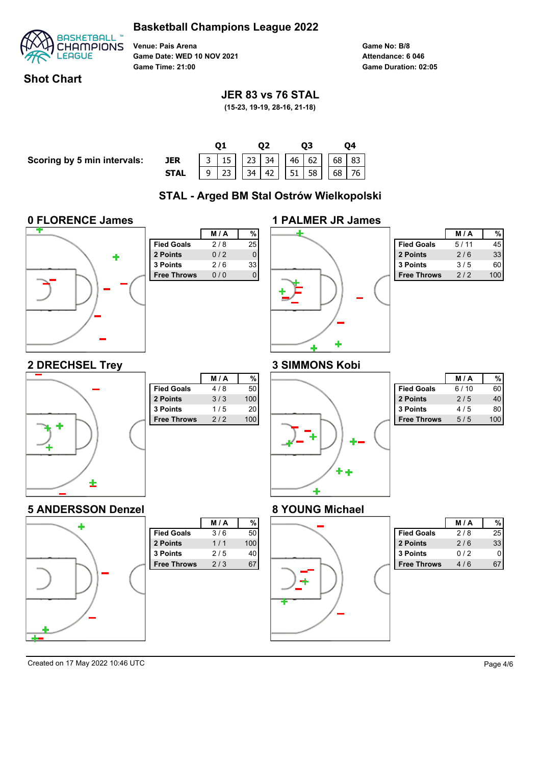

**Venue: Pais Arena Game Date: WED 10 NOV 2021 Game Time: 21:00**

**Game No: B/8 Game Duration: 02:05 Attendance: 6 046**

## **Shot Chart**

## **JER 83 vs 76 STAL**

**(15-23, 19-19, 28-16, 21-18)**

**Scoring by 5 min intervals:** 

|                                                                                                                                                           | 03 |  |  |      |
|-----------------------------------------------------------------------------------------------------------------------------------------------------------|----|--|--|------|
|                                                                                                                                                           |    |  |  | JER  |
|                                                                                                                                                           |    |  |  | STAL |
| $\begin{array}{ c c c c c c c c c c c } \hline 3 & 15 & 23 & 34 & 46 & 62 & 68 & 83 \\ \hline 9 & 23 & 34 & 42 & 51 & 58 & 68 & 76 \\ \hline \end{array}$ |    |  |  |      |

# **STAL - Arged BM Stal Ostrów Wielkopolski**

#### **0 FLORENCE James**



|                    | M/A | %  |
|--------------------|-----|----|
| <b>Fied Goals</b>  | 2/8 | 25 |
| 2 Points           | 0/2 | 0  |
| 3 Points           | 2/6 | 33 |
| <b>Free Throws</b> | 0/0 |    |
|                    |     |    |
|                    |     |    |
|                    |     |    |
|                    |     |    |
|                    |     |    |
|                    |     |    |

| <b>1 PALMER JR James</b> |  |
|--------------------------|--|
| ٠                        |  |

|                    | <b>M/A</b> |     |
|--------------------|------------|-----|
| <b>Fied Goals</b>  | 5/11       | 45  |
| 2 Points           | 2/6        | 33  |
| 3 Points           | 3/5        | 60  |
| <b>Free Throws</b> | 2/2        | 100 |

#### **3 SIMMONS Kobi**



÷

|                    | <b>M/A</b> | %   |
|--------------------|------------|-----|
| <b>Fied Goals</b>  | 4/8        | 50  |
| 2 Points           | 3/3        | 100 |
| 3 Points           | 1/5        | 20  |
| <b>Free Throws</b> | 2/2        | 100 |
|                    |            |     |
|                    |            |     |
|                    |            |     |
|                    |            |     |
|                    |            |     |

**Fied Goals**  $3/6$  50 **2 Points** 1/1 100 **3 Points** 2/5 40 **Free Throws** 2/3 67

**M / A %**

# ٠

|                    | M / A |    |
|--------------------|-------|----|
| <b>Fied Goals</b>  | 6/10  |    |
| 2 Points           | 2/5   |    |
| <b>3 Points</b>    | 4/5   | 80 |
| <b>Free Throws</b> | 5 / 5 |    |

#### **8 YOUNG Michael**



|                    | <b>M/A</b> |    |
|--------------------|------------|----|
| <b>Fied Goals</b>  | 2/8        | 25 |
| 2 Points           | 2/6        | 33 |
| 3 Points           | 012        |    |
| <b>Free Throws</b> | 4/6        |    |

Created on 17 May 2022 10:46 UTC Page 4/6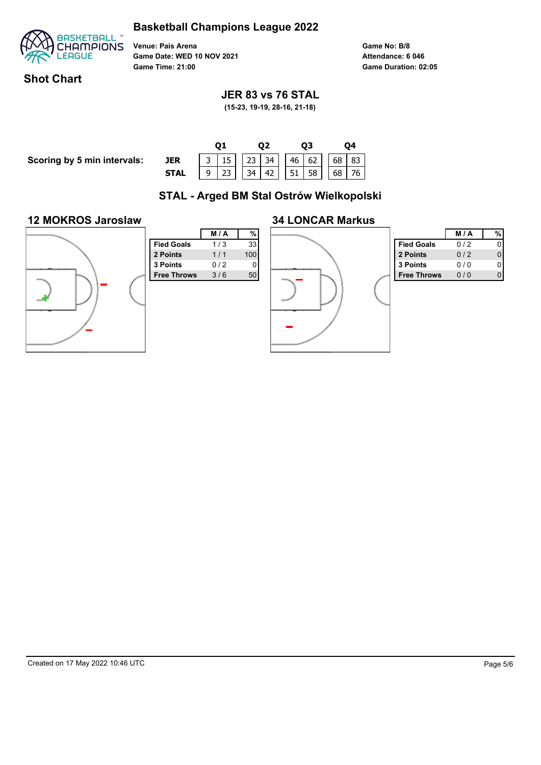

**Venue: Pais Arena Game Date: WED 10 NOV 2021 Game Time: 21:00**

**Game No: B/8 Game Duration: 02:05 Attendance: 6 046**

## **Shot Chart**

## **JER 83 vs 76 STAL**

**(15-23, 19-19, 28-16, 21-18)**

**Scoring by 5 min intervals:** 

|      |  |  | 92                                                                                                                                                    |  | DЗ |  |  |  |  |
|------|--|--|-------------------------------------------------------------------------------------------------------------------------------------------------------|--|----|--|--|--|--|
| JER  |  |  | $\begin{array}{ c c c c c c c c c } \hline 3 & 15 & 23 & 34 & 46 & 62 & 68 & 83 \\ \hline 9 & 23 & 34 & 42 & 51 & 58 & 68 & 76 \\ \hline \end{array}$ |  |    |  |  |  |  |
| STAL |  |  |                                                                                                                                                       |  |    |  |  |  |  |

# **STAL - Arged BM Stal Ostrów Wielkopolski**

#### **12 MOKROS Jaroslaw**



|                    | M/A | %   |  |
|--------------------|-----|-----|--|
| <b>Fied Goals</b>  | 1/3 | 33  |  |
| 2 Points           | 1/1 | 100 |  |
| 3 Points           | 0/2 | 0   |  |
| <b>Free Throws</b> | 3/6 | 50  |  |
|                    |     |     |  |
|                    |     |     |  |
|                    |     |     |  |
|                    |     |     |  |
|                    |     |     |  |
|                    |     |     |  |
|                    |     |     |  |



|                    | <b>M/A</b> |  |
|--------------------|------------|--|
| <b>Fied Goals</b>  | 0/2        |  |
| 2 Points           | 0/2        |  |
| <b>3 Points</b>    | 0 / 0      |  |
| <b>Free Throws</b> | 0 / 0      |  |